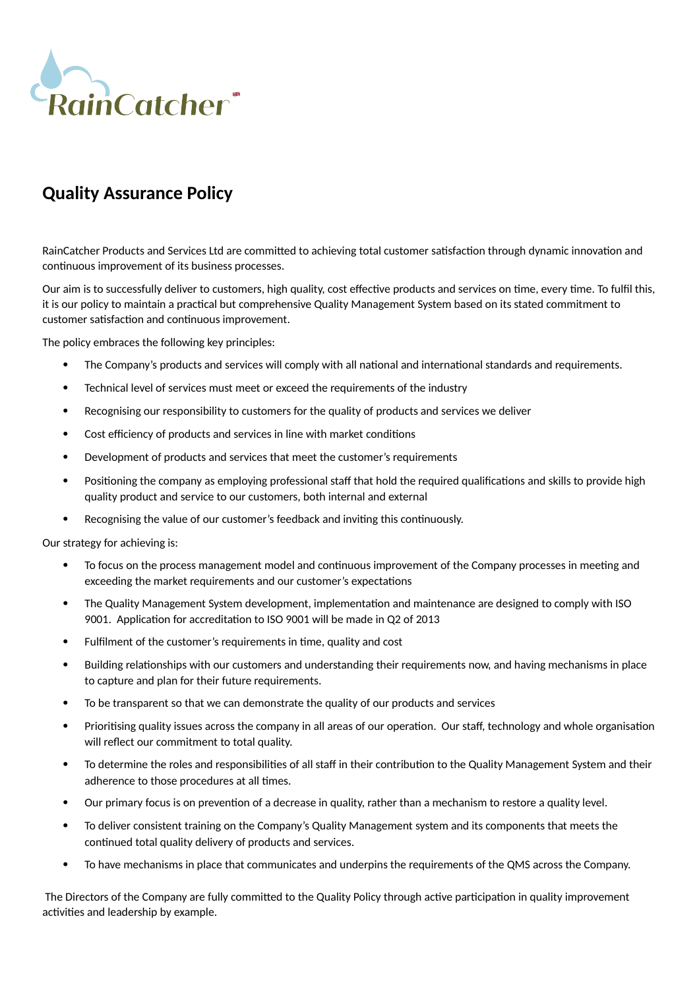

## **Quality Assurance Policy**

RainCatcher Products and Services Ltd are committed to achieving total customer satisfaction through dynamic innovation and continuous improvement of its business processes.

Our aim is to successfully deliver to customers, high quality, cost effective products and services on time, every time. To fulfil this, it is our policy to maintain a practical but comprehensive Quality Management System based on its stated commitment to customer satisfaction and continuous improvement.

The policy embraces the following key principles:

- The Company's products and services will comply with all national and international standards and requirements.
- Technical level of services must meet or exceed the requirements of the industry
- Recognising our responsibility to customers for the quality of products and services we deliver
- Cost efficiency of products and services in line with market conditions
- Development of products and services that meet the customer's requirements
- Positioning the company as employing professional staff that hold the required qualifications and skills to provide high quality product and service to our customers, both internal and external
- Recognising the value of our customer's feedback and inviting this continuously.

Our strategy for achieving is:

- To focus on the process management model and continuous improvement of the Company processes in meeting and exceeding the market requirements and our customer's expectations
- The Quality Management System development, implementation and maintenance are designed to comply with ISO 9001. Application for accreditation to ISO 9001 will be made in Q2 of 2013
- Fulfilment of the customer's requirements in time, quality and cost
- Building relationships with our customers and understanding their requirements now, and having mechanisms in place to capture and plan for their future requirements.
- To be transparent so that we can demonstrate the quality of our products and services
- Prioritising quality issues across the company in all areas of our operation. Our staff, technology and whole organisation will reflect our commitment to total quality.
- To determine the roles and responsibilities of all staff in their contribution to the Quality Management System and their adherence to those procedures at all times.
- Our primary focus is on prevention of a decrease in quality, rather than a mechanism to restore a quality level.
- To deliver consistent training on the Company's Quality Management system and its components that meets the continued total quality delivery of products and services.
- To have mechanisms in place that communicates and underpins the requirements of the QMS across the Company.

 The Directors of the Company are fully committed to the Quality Policy through active participation in quality improvement activities and leadership by example.